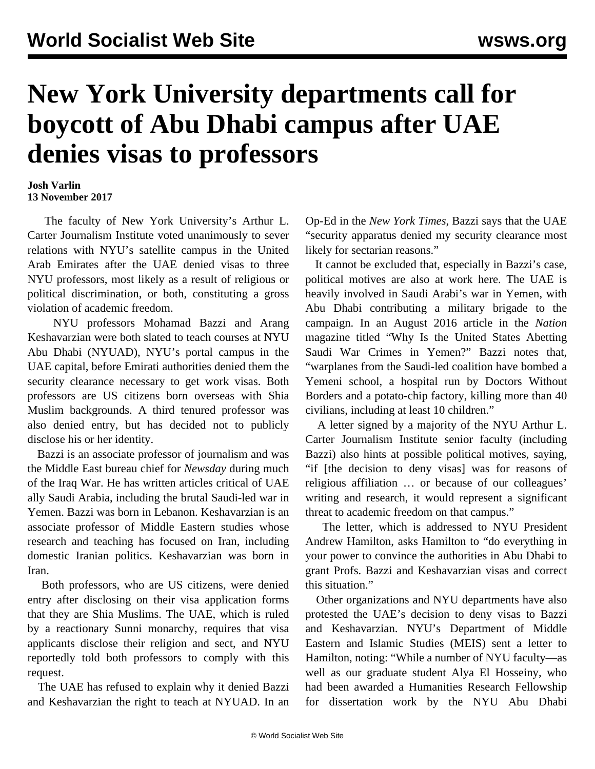## **New York University departments call for boycott of Abu Dhabi campus after UAE denies visas to professors**

## **Josh Varlin 13 November 2017**

 The faculty of New York University's Arthur L. Carter Journalism Institute voted unanimously to sever relations with NYU's satellite campus in the United Arab Emirates after the UAE denied visas to three NYU professors, most likely as a result of religious or political discrimination, or both, constituting a gross violation of academic freedom.

 NYU professors Mohamad Bazzi and Arang Keshavarzian were both slated to teach courses at NYU Abu Dhabi (NYUAD), NYU's portal campus in the UAE capital, before Emirati authorities denied them the security clearance necessary to get work visas. Both professors are US citizens born overseas with Shia Muslim backgrounds. A third tenured professor was also denied entry, but has decided not to publicly disclose his or her identity.

 Bazzi is an associate professor of journalism and was the Middle East bureau chief for *Newsday* during much of the Iraq War. He has written articles critical of UAE ally Saudi Arabia, including the brutal Saudi-led war in Yemen. Bazzi was born in Lebanon. Keshavarzian is an associate professor of Middle Eastern studies whose research and teaching has focused on Iran, including domestic Iranian politics. Keshavarzian was born in Iran.

 Both professors, who are US citizens, were denied entry after disclosing on their visa application forms that they are Shia Muslims. The UAE, which is ruled by a reactionary Sunni monarchy, requires that visa applicants disclose their religion and sect, and NYU reportedly told both professors to comply with this request.

 The UAE has refused to explain why it denied Bazzi and Keshavarzian the right to teach at NYUAD. In an Op-Ed in the *New York Times*, Bazzi says that the UAE "security apparatus denied my security clearance most likely for sectarian reasons."

 It cannot be excluded that, especially in Bazzi's case, political motives are also at work here. The UAE is heavily involved in Saudi Arabi's war in Yemen, with Abu Dhabi contributing a military brigade to the campaign. In an August 2016 article in the *Nation* magazine titled "Why Is the United States Abetting Saudi War Crimes in Yemen?" Bazzi notes that, "warplanes from the Saudi-led coalition have bombed a Yemeni school, a [hospital](/en/articles/2015/10/29/yeme-o29.html) run by Doctors Without Borders and a potato-chip factory, killing more than 40 civilians, including at least 10 children."

 A letter signed by a majority of the NYU Arthur L. Carter Journalism Institute senior faculty (including Bazzi) also hints at possible political motives, saying, "if [the decision to deny visas] was for reasons of religious affiliation … or because of our colleagues' writing and research, it would represent a significant threat to academic freedom on that campus."

 The letter, which is addressed to NYU President Andrew Hamilton, asks Hamilton to "do everything in your power to convince the authorities in Abu Dhabi to grant Profs. Bazzi and Keshavarzian visas and correct this situation."

 Other organizations and NYU departments have also protested the UAE's decision to deny visas to Bazzi and Keshavarzian. NYU's Department of Middle Eastern and Islamic Studies (MEIS) sent a letter to Hamilton, noting: "While a number of NYU faculty—as well as our graduate student Alya El Hosseiny, who had been awarded a Humanities Research Fellowship for dissertation work by the NYU Abu Dhabi